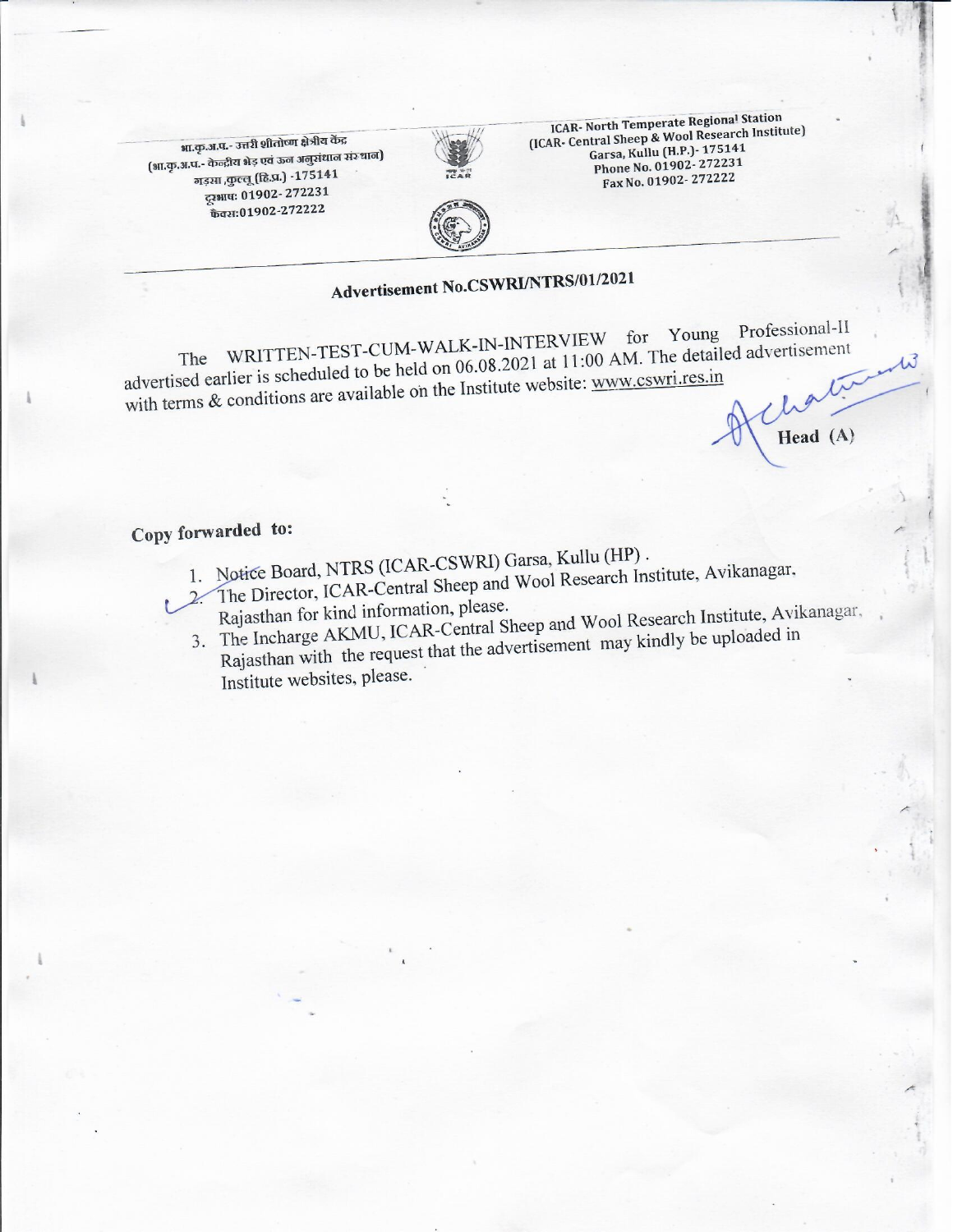भा.कृ.अ.प.- उत्तरी शीतोष्ण क्षेत्रीय केंद्र (भा.कृ.अ.प.- केन्द्रीय भेड़ एवं ऊन अनुसंधान संस्थान) गड़सा ,कुल्लू (हि.प्र.) -175141 ट्ट्याप: 01902-272231 फैक्स:01902-272222



ICAR- North Temperate Regional Station (ICAR- Central Sheep & Wool Research Institute) Garsa, Kullu (H.P.) - 175141 Phone No. 01902-272231 Fax No. 01902-272222



# Advertisement No.CSWRI/NTRS/01/2021

The WRITTEN-TEST-CUM-WALK-IN-INTERVIEW for Young Professional-II advertised earlier is scheduled to be held on 06.08.2021 at 11:00 AM. The detailed advertisement with terms & conditions are available on the Institute website: www.cswri.res.in

Head (A)

## Copy forwarded to:

- 1. Notice Board, NTRS (ICAR-CSWRI) Garsa, Kullu (HP).
- 2. The Director, ICAR-Central Sheep and Wool Research Institute, Avikanagar,
- Rajasthan for kind information, please.
- 3. The Incharge AKMU, ICAR-Central Sheep and Wool Research Institute, Avikanagar,
- Rajasthan with the request that the advertisement may kindly be uploaded in Institute websites, please.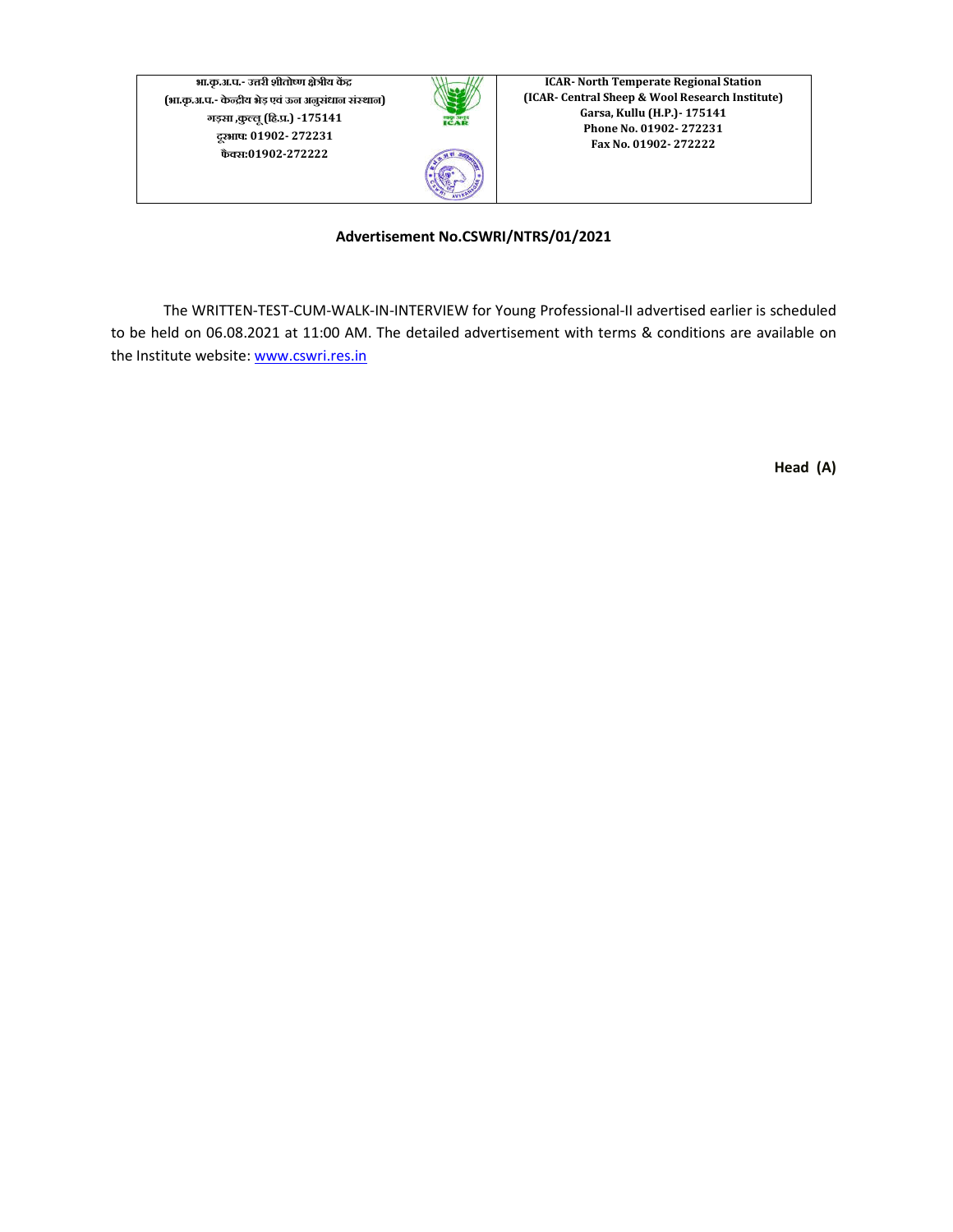**भा.कृ.अ.प.- उरी शीतोण ेीय क (भा.कृ.अ.प.- केीय भेड़ एवंऊन अनुसंधान संथान) गड़सा ,कुलू(िह..) -175141 दूरभाष: 01902- 272231 फैस:01902-272222**



**ICAR- North Temperate Regional Station (ICAR- Central Sheep & Wool Research Institute) Garsa, Kullu (H.P.)- 175141 Phone No. 01902- 272231 Fax No. 01902- 272222**

#### **Advertisement No.CSWRI/NTRS/01/2021**

The WRITTEN-TEST-CUM-WALK-IN-INTERVIEW for Young Professional-II advertised earlier is scheduled to be held on 06.08.2021 at 11:00 AM. The detailed advertisement with terms & conditions are available on the Institute website: www.cswri.res.in

**Head (A)**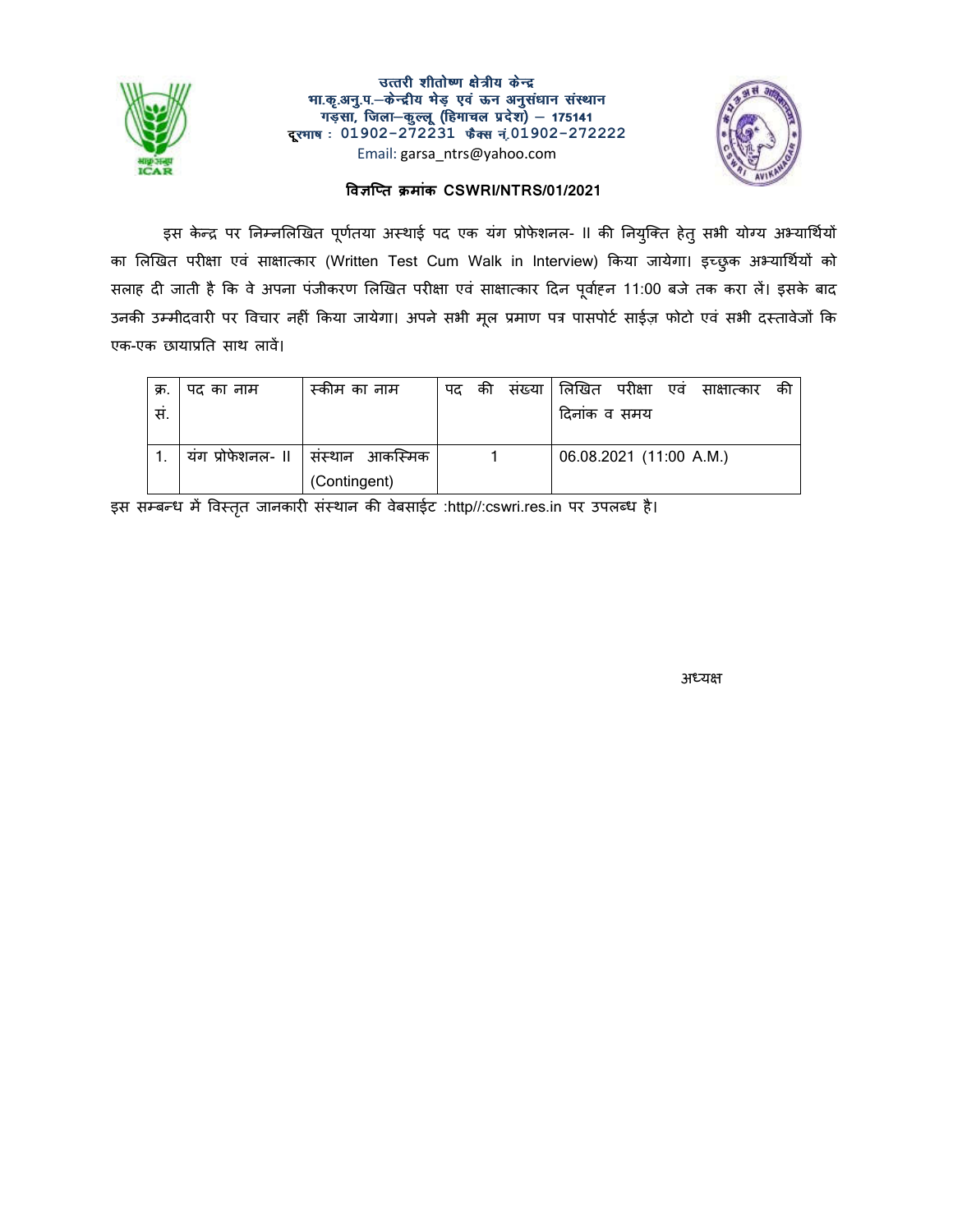

#### उत्तरी शीतोष्ण क्षेत्रीय केन्द्र भा.कृ.अनु.प.-केन्द्रीय भेड़ एवं ऊन अनुसंधान संस्थान गड़सा, जिला–कुल्लू (हिमाचल प्रदेश) – 175141 <mark>दूरभाष</mark>ः 01902-272231 फैक्स नं.01902-272222 Email: garsa\_ntrs@yahoo.com



#### **वित मांक CSWRI/NTRS/01/2021**

इस केन्द्र पर निम्नलिखित पूर्णतया अस्थाई पद एक यंग प्रोफेशनल- ll की नियुक्ति हेतु सभी योग्य अभ्यार्थियो का लिखित परीक्षा एवं साक्षात्कार (Written Test Cum Walk in Interview) किया जायेगा। इच्छुक अभ्यार्थियों को सलाह दी जाती है कि वे अपना पंजीकरण लिखित परीक्षा एवं साक्षात्कार दिन पूर्वाहन 11:00 बजे तक करा ले। इसके बाद उनकी उम्मीदवारी पर विचार नहीं किया जायेगा। अपने सभी मूल प्रमाण पत्र पासपोर्ट साईज़ फोटो एव सभी दस्तावेजो कि एक-एक छायात साथ लाव।

| क्र. | पद का नाम         | . स्कीम का नाम  | पद | की | संख्या किखित परीक्षा    | एव | साक्षात्कार | की |
|------|-------------------|-----------------|----|----|-------------------------|----|-------------|----|
| स.   |                   |                 |    |    | दिनांक व समय            |    |             |    |
|      |                   |                 |    |    |                         |    |             |    |
|      | यंग प्रोफेशनल- II | संस्थान आकस्मिक |    |    | 06.08.2021 (11:00 A.M.) |    |             |    |
|      |                   | (Contingent)    |    |    |                         |    |             |    |

इस सम्बन्ध में विस्तृत जानकारी संस्थान की वेबसाईट :http//:cswri.res.in पर उपलब्ध है।

स्त्रीय स्थान के बाद कर समय कर रही है। अन्य कार्य के बाद की समय कर रही है। अन्य कार्य के अधिक स्थान के अधिक सम<br>अन्य कार्य के बाद की समय कर रही है कि अपनी कार्य कर रही है कि अपनी कार्य कर रही है कि अपनी कार्य कर रही है कि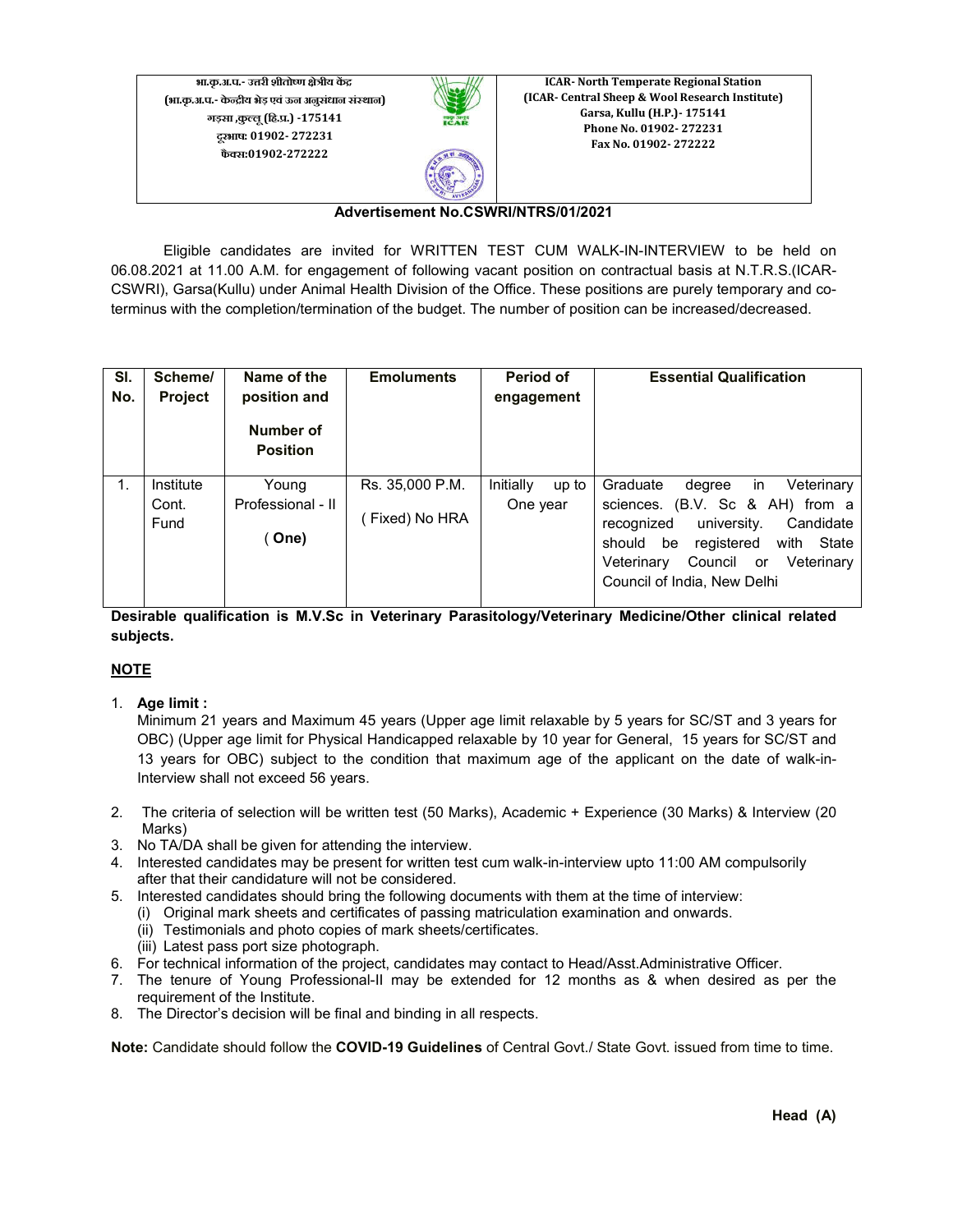**भा.कृ.अ.प.- उरी शीतोण ेीय क (भा.कृ.अ.प.- केीय भेड़ एवंऊन अनुसंधान संथान) गड़सा ,कुलू(िह..) -175141 दूरभाष: 01902- 272231 फैस:01902-272222**



**ICAR- North Temperate Regional Station (ICAR- Central Sheep & Wool Research Institute) Garsa, Kullu (H.P.)- 175141 Phone No. 01902- 272231 Fax No. 01902- 272222**

#### **Advertisement No.CSWRI/NTRS/01/2021**

Eligible candidates are invited for WRITTEN TEST CUM WALK-IN-INTERVIEW to be held on 06.08.2021 at 11.00 A.M. for engagement of following vacant position on contractual basis at N.T.R.S.(ICAR-CSWRI), Garsa(Kullu) under Animal Health Division of the Office. These positions are purely temporary and coterminus with the completion/termination of the budget. The number of position can be increased/decreased.

| SI.<br>No. | Scheme/<br><b>Project</b>  | Name of the<br>position and<br>Number of<br><b>Position</b> | <b>Emoluments</b>                | Period of<br>engagement        | <b>Essential Qualification</b>                                                                                                                                                                                                                                   |
|------------|----------------------------|-------------------------------------------------------------|----------------------------------|--------------------------------|------------------------------------------------------------------------------------------------------------------------------------------------------------------------------------------------------------------------------------------------------------------|
| 1.         | Institute<br>Cont.<br>Fund | Young<br>Professional - II<br>(One)                         | Rs. 35,000 P.M.<br>Fixed) No HRA | Initially<br>up to<br>One year | Graduate<br>Veterinary<br>degree<br><sub>in</sub><br>sciences. (B.V. Sc & AH) from a<br>university.<br>Candidate<br>recognized<br>registered<br>State<br>should<br>be<br>with<br>Veterinary<br>Council<br>Veterinary<br><b>or</b><br>Council of India, New Delhi |

**Desirable qualification is M.V.Sc in Veterinary Parasitology/Veterinary Medicine/Other clinical related subjects.**

#### **NOTE**

1. **Age limit :** 

Minimum 21 years and Maximum 45 years (Upper age limit relaxable by 5 years for SC/ST and 3 years for OBC) (Upper age limit for Physical Handicapped relaxable by 10 year for General, 15 years for SC/ST and 13 years for OBC) subject to the condition that maximum age of the applicant on the date of walk-in-Interview shall not exceed 56 years.

- 2. The criteria of selection will be written test (50 Marks), Academic + Experience (30 Marks) & Interview (20 Marks)
- 3. No TA/DA shall be given for attending the interview.
- 4. Interested candidates may be present for written test cum walk-in-interview upto 11:00 AM compulsorily after that their candidature will not be considered.
- 5. Interested candidates should bring the following documents with them at the time of interview:
	- (i) Original mark sheets and certificates of passing matriculation examination and onwards.
		- (ii) Testimonials and photo copies of mark sheets/certificates.
		- (iii) Latest pass port size photograph.
- 6. For technical information of the project, candidates may contact to Head/Asst.Administrative Officer.
- 7. The tenure of Young Professional-II may be extended for 12 months as & when desired as per the requirement of the Institute.
- 8. The Director's decision will be final and binding in all respects.

**Note:** Candidate should follow the **COVID-19 Guidelines** of Central Govt./ State Govt. issued from time to time.